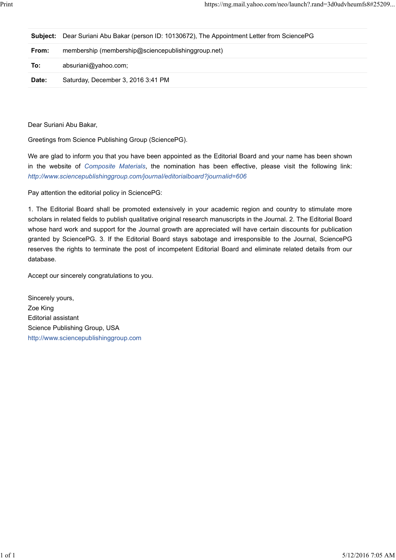|       | <b>Subject:</b> Dear Suriani Abu Bakar (person ID: 10130672), The Appointment Letter from SciencePG |
|-------|-----------------------------------------------------------------------------------------------------|
| From: | membership (membership@sciencepublishinggroup.net)                                                  |
| To:   | absuriani@yahoo.com;                                                                                |
| Date: | Saturday, December 3, 2016 3:41 PM                                                                  |

Dear Suriani Abu Bakar,

Greetings from Science Publishing Group (SciencePG).

We are glad to inform you that you have been appointed as the Editorial Board and your name has been shown in the website of *Composite Materials*, the nomination has been effective, please visit the following link: *http://www.sciencepublishinggroup.com/journal/editorialboard?journalid=606*

Pay attention the editorial policy in SciencePG:

1. The Editorial Board shall be promoted extensively in your academic region and country to stimulate more scholars in related fields to publish qualitative original research manuscripts in the Journal. 2. The Editorial Board whose hard work and support for the Journal growth are appreciated will have certain discounts for publication granted by SciencePG. 3. If the Editorial Board stays sabotage and irresponsible to the Journal, SciencePG reserves the rights to terminate the post of incompetent Editorial Board and eliminate related details from our database.

Accept our sincerely congratulations to you.

Sincerely yours, Zoe King Editorial assistant Science Publishing Group, USA http://www.sciencepublishinggroup.com